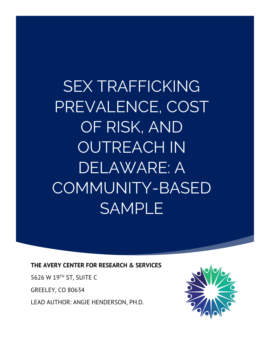SEX TRAFFICKING PREVALENCE, COST OF RISK, AND OUTREACH IN DELAWARE: A COMMUNITY-BASED SAMPLE

**THE AVERY CENTER FOR RESEARCH & SERVICES**

5626 W 19TH ST, SUITE C

GREELEY, CO 80634

LEAD AUTHOR: ANGIE HENDERSON, PH.D.

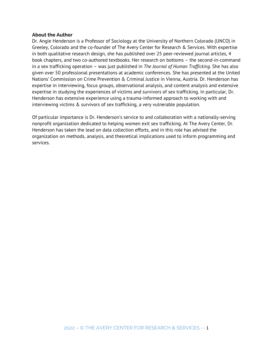#### **About the Author**

Dr. Angie Henderson is a Professor of Sociology at the University of Northern Colorado (UNCO) in Greeley, Colorado and the co-founder of The Avery Center for Research & Services. With expertise in both qualitative research design, she has published over 25 peer-reviewed journal articles, 4 book chapters, and two co-authored textbooks. Her research on bottoms – the second-in-command in a sex trafficking operation – was just published in *The Journal of Human Trafficking.* She has also given over 50 professional presentations at academic conferences. She has presented at the United Nations' Commission on Crime Prevention & Criminal Justice in Vienna, Austria. Dr. Henderson has expertise in interviewing, focus groups, observational analysis, and content analysis and extensive expertise in studying the experiences of victims and survivors of sex trafficking. In particular, Dr. Henderson has extensive experience using a trauma-informed approach to working with and interviewing victims & survivors of sex trafficking, a very vulnerable population.

Of particular importance is Dr. Henderson's service to and collaboration with a nationally-serving nonprofit organization dedicated to helping women exit sex trafficking. At The Avery Center, Dr. Henderson has taken the lead on data collection efforts, and in this role has advised the organization on methods, analysis, and theoretical implications used to inform programming and services.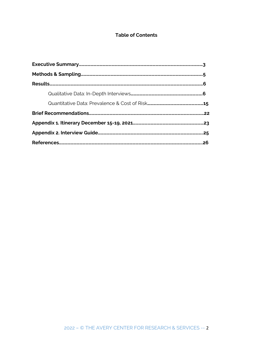# **Table of Contents**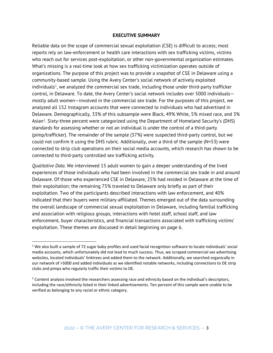#### **EXECUTIVE SUMMARY**

Reliable data on the scope of commercial sexual exploitation (CSE) is difficult to access; most reports rely on law-enforcement or health care interactions with sex trafficking victims, victims who reach out for services post-exploitation, or other non-governmental organization estimates. What's missing is a real-time look at how sex trafficking victimization operates outside of organizations. The purpose of this project was to provide a snapshot of CSE in Delaware using a community-based sample. Using the Avery Center's social network of actively exploited individuals<sup>[1](#page-3-0)</sup>, we analyzed the commercial sex trade, including those under third-party trafficker control, in Delaware. To date, the Avery Center's social network includes over 5000 individuals mostly adult women—involved in the commercial sex trade. For the purposes of this project, we analyzed all 152 Instagram accounts that were connected to individuals who had advertised in Delaware. Demographically, 33% of this subsample were Black, 49% White, 5% mixed race, and 3% Asian<sup>[2](#page-3-1)</sup>. Sixty-three percent were categorized using the Department of Homeland Security's (DHS) standards for assessing whether or not an individual is under the control of a third-party (pimp/trafficker). The remainder of the sample (37%) were suspected third-party control, but we could not confirm it using the DHS rubric. Additionally, over a third of the sample (N=53) were connected to strip club operations on their social media accounts, which research has shown to be connected to third-party controlled sex trafficking activity.

*Qualitative Data.* We interviewed 15 adult women to gain a deeper understanding of the lived experiences of those individuals who had been involved in the commercial sex trade in and around Delaware. Of those who experienced CSE in Delaware, 25% had resided in Delaware at the time of their exploitation; the remaining 75% traveled to Delaware only briefly as part of their exploitation. Two of the participants described interactions with law enforcement, and 40% indicated that their buyers were military-affiliated. Themes emerged out of the data surrounding the overall landscape of commercial sexual exploitation in Delaware, including familial trafficking and association with religious groups, interactions with hotel staff, school staff, and law enforcement, buyer characteristics, and financial transactions associated with trafficking victims' exploitation. These themes are discussed in detail beginning on page 6.

<span id="page-3-0"></span><sup>&</sup>lt;sup>1</sup> We also built a sample of 72 sugar baby profiles and used facial recognition software to locate individuals' social media accounts, which unfortunately did not lead to much success. Thus, we scraped commercial sex advertising websites, located individuals' linktrees and added them to the network. Additionally, we searched organically in our network of >5000 and added individuals as we identified notable networks, including connections to DE strip clubs and pimps who regularly traffic their victims to DE.

<span id="page-3-1"></span><sup>&</sup>lt;sup>2</sup> Content analysis involved the researchers assessing race and ethnicity based on the individual's descriptors, including the race/ethnicity listed in their linked advertisements. Ten percent of this sample were unable to be verified as belonging to any racial or ethnic category.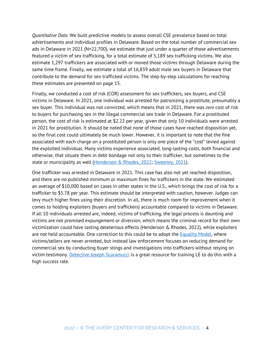*Quantitative Data.* We built predictive models to assess overall CSE prevalence based on total advertisements and individual profiles in Delaware*.* Based on the total number of commercial sex ads in Delaware in 2021 (N=22,700), we estimate that just under a quarter of those advertisements featured a victim of sex trafficking, for a total estimate of 5,189 sex trafficking victims. We also estimate 1,297 traffickers are associated with or moved those victims through Delaware during the same time frame. Finally, we estimate a total of 16,839 adult male sex buyers in Delaware that contribute to the demand for sex trafficked victims. The step-by-step calculations for reaching these estimates are presented on page 15.

Finally, we conducted a cost of risk (COR) assessment for sex traffickers, sex buyers, and CSE victims in Delaware. In 2021, one individual was arrested for patronizing a prostitute, presumably a sex buyer. This individual was not convicted, which means that in 2021, there was *zero* cost of risk to buyers for purchasing sex in the illegal commercial sex trade in Delaware. For a prostituted person, the cost of risk is estimated at \$2.22 per year, given that only 10 individuals were arrested in 2021 for prostitution. It should be noted that none of those cases have reached disposition yet, so the final cost could ultimately be much lower. However, it is important to note that the fine associated with each charge on a prostituted person is only one piece of the "cost" levied against the exploited individual. Many victims experience associated, long-lasting costs, both financial and otherwise, that situate them in debt bondage not only to their trafficker, but sometimes to the state or municipality as well [\(Henderson & Rhodes, 2022;](https://theaverycenter.org/got-sold-a-dream-it-turned-into-a-nightmare-the-victim-offender-overlap-in-sexual-exploitation/) [Sweeney, 2021\)](https://theaverycenter.org/wp-content/uploads/2021/07/The-Avery-Center-Legal-Deserts.pdf).

One trafficker was arrested in Delaware in 2021. This case has also not yet reached disposition, and there are no published minimum or maximum fines for traffickers in the state. We estimated an average of \$10,000 based on cases in other states in the U.S., which brings the cost of risk for a trafficker to \$5.78 per year. This estimate should be interpreted with caution, however. Judges can levy much higher fines using their discretion. In all, there is much room for improvement when it comes to holding exploiters (buyers and traffickers) accountable compared to victims in Delaware. If all 10 individuals arrested are, indeed, victims of trafficking, the legal process is daunting and victims are not promised expungement or diversion, which means the criminal record for their own victimization could have lasting deleterious effects (Henderson & Rhodes, 2022), while exploiters are not held accountable. One correction to this could be to adopt the [Equality Model,](https://www.equalitymodelus.org/why-the-equality-model/) where victims/sellers are never arrested, but instead law enforcement focuses on reducing demand for commercial sex by conducting buyer stings and investigations into traffickers without relying on victim testimony. [Detective Joseph Scaramucci](https://htfusion.org/teams/dr-john-smith/) is a great resource for training LE to do this with a high success rate.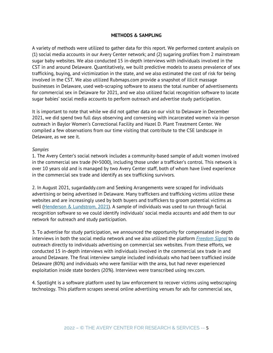### **METHODS & SAMPLING**

A variety of methods were utilized to gather data for this report. We performed content analysis on (1) social media accounts in our Avery Center network; and (2) sugaring profiles from 2 mainstream sugar baby websites. We also conducted 15 in-depth interviews with individuals involved in the CST in and around Delaware. Quantitatively, we built predictive models to assess prevalence of sex trafficking, buying, and victimization in the state, and we also estimated the cost of risk for being involved in the CST. We also utilized Rubmaps.com provide a snapshot of illicit massage businesses in Delaware, used web-scraping software to assess the total number of advertisements for commercial sex in Delaware for 2021, and we also utilized facial recognition software to locate sugar babies' social media accounts to perform outreach and advertise study participation.

It is important to note that while we did not gather data on our visit to Delaware in December 2021, we did spend two full days observing and conversing with incarcerated women via in-person outreach in Baylor Women's Correctional Facility and Hazel D. Plant Treatment Center. We compiled a few observations from our time visiting that contribute to the CSE landscape in Delaware, as we see it.

### *Samples*

1. The Avery Center's social network includes a community-based sample of adult women involved in the commercial sex trade (N>5000), including those under a trafficker's control. This network is over 10 years old and is managed by two Avery Center staff, both of whom have lived experience in the commercial sex trade and identify as sex trafficking survivors.

2. In August 2021, sugardaddy.com and Seeking Arrangements were scraped for individuals advertising or being advertised in Delaware. Many traffickers and trafficking victims utilize these websites and are increasingly used by both buyers and traffickers to groom potential victims as well [\(Henderson & Lundstrom, 2021\)](https://theaverycenter.org/webinar-the-bitter-truth-about-sugaring-and-onlyfans/). A sample of individuals was used to run through facial recognition software so we could identify individuals' social media accounts and add them to our network for outreach and study participation.

3. To advertise for study participation, we announced the opportunity for compensated in-depth interviews in both the social media network and we also utilized the platform *[Freedom Signal](https://freedomsignal.org/)* to do outreach directly to individuals advertising on commercial sex websites. From these efforts, we conducted 15 in-depth interviews with individuals involved in the commercial sex trade in and around Delaware. The final interview sample included individuals who had been trafficked inside Delaware (80%) and individuals who were familiar with the area, but had never experienced exploitation inside state borders (20%). Interviews were transcribed using rev.com.

4. Spotlight is a software platform used by law enforcement to recover victims using webscraping technology. This platform scrapes several online advertising venues for ads for commercial sex,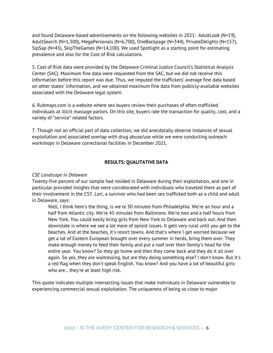and found Delaware-based advertisements on the following websites in 2021: AdultLook (N=19), AdultSearch (N=1,300), MegaPersonals (N=6,700), OneBackpage (N=344), PrivateDelights (N=157), SipSap (N=45), SkipTheGames (N=14,100). We used Spotlight as a starting point for estimating prevalence and also for the Cost of Risk calculations.

5. Cost of Risk data were provided by the Delaware Criminal Justice Council's Statistical Analysis Center (SAC). Maximum fine data were requested from the SAC, but we did not receive this information before this report was due. Thus, we imputed the traffickers' average fine data based on other states' information, and we obtained maximum fine data from publicly-available websites associated with the Delaware legal system.

6. Rubmaps.com is a website where sex buyers review their purchases of often-trafficked individuals at illicit massage parlors. On this site, buyers rate the transaction for quality, cost, and a variety of "service" related factors.

7. Though not an official part of data collection, we did anecdotally observe instances of sexual exploitation and associated overlap with drug abuse/use while we were conducting outreach workshops in Delaware correctional facilities in December 2021.

### **RESULTS: QUALITATIVE DATA**

### *CSE Landscape in Delaware*

Twenty-five percent of our sample had resided in Delaware during their exploitation, and one in particular provided insights that were corroborated with individuals who traveled there as part of their involvement in the CST. Lori, a survivor who had been sex trafficked both as a child and adult in Delaware, says:

Well, I think here's the thing, is we're 30 minutes from Philadelphia. We're an hour and a half from Atlantic city. We're 45 minutes from Baltimore. We're two and a half hours from New York. You could easily bring girls from New York to Delaware and back out. And then downstate is where we see a lot more of opioid issues. It gets very rural until you get to the beaches. And at the beaches, it's resort towns. And that's where I get worried because we get a lot of Eastern European brought over every summer in herds, bring them over. They make enough money to feed their family and put a roof over their family's head for the entire year. You know? So they go home and then they come back and they do it all over again. So yes, they are waitressing, but are they doing something else? I don't know. But it's a red flag when they don't speak English. You know? And you have a lot of beautiful girls who are... they're at least high risk.

This quote indicates multiple intersecting issues that make individuals in Delaware vulnerable to experiencing commercial sexual exploitation. The uniqueness of being so close to major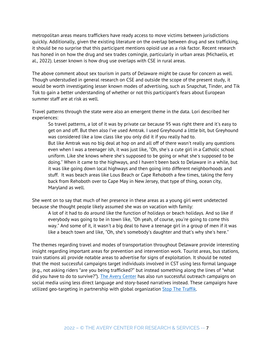metropolitan areas means traffickers have ready access to move victims between jurisdictions quickly. Additionally, given the existing literature on the overlap between drug and sex trafficking, it should be no surprise that this participant mentions opioid use as a risk factor. Recent research has honed in on how the drug and sex trades comingle, particularly in urban areas (Michaelis, et al., 2022). Lesser known is how drug use overlaps with CSE in rural areas.

The above comment about sex tourism in parts of Delaware might be cause for concern as well. Though understudied in general research on CSE and outside the scope of the present study, it would be worth investigating lesser known modes of advertising, such as Snapchat, Tinder, and Tik Tok to gain a better understanding of whether or not this participant's fears about European summer staff are at risk as well.

Travel patterns through the state were also an emergent theme in the data. Lori described her experiences:

So travel patterns, a lot of it was by private car because 95 was right there and it's easy to get on and off. But then also I've used Amtrak. I used Greyhound a little bit, but Greyhound was considered like a low class like you only did it if you really had to. But like Amtrak was no big deal at hop on and all off of there wasn't really any questions even when I was a teenager ish, it was just like, "Oh, she's a cute girl in a Catholic school uniform. Like she knows where she's supposed to be going or what she's supposed to be doing." When it came to the highways, and I haven't been back to Delaware in a while, but it was like going down local highways and then going into different neighborhoods and stuff. It was beach areas like Lous Beach or Cape Rehoboth a few times, taking the ferry back from Rehoboth over to Cape May in New Jersey, that type of thing, ocean city, Maryland as well.

She went on to say that much of her presence in these areas as a young girl went undetected because she thought people likely assumed she was on vacation with family:

A lot of it had to do around like the function of holidays or beach holidays. And so like if everybody was going to be in town like, "Oh yeah, of course, you're going to come this way." And some of it, it wasn't a big deal to have a teenage girl in a group of men if it was like a beach town and like, "Oh, she's somebody's daughter and that's why she's here."

The themes regarding travel and modes of transportation throughout Delaware provide interesting insight regarding important areas for prevention and intervention work. Tourist areas, bus stations, train stations all provide notable areas to advertise for signs of exploitation. It should be noted that the most successful campaigns target individuals involved in CST using less formal language (e.g., not asking riders "are you being trafficked?" but instead something along the lines of "what did you have to do to survive?"). [The Avery Center](https://askavery.how/survive/) has also run successful outreach campaigns on social media using less direct language and story-based narratives instead. These campaigns have utilized geo-targeting in partnership with global organization [Stop The Traffik.](https://www.stopthetraffik.org/stopapp/)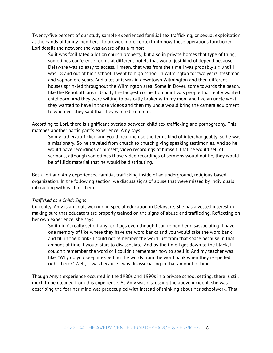Twenty-five percent of our study sample experienced familial sex trafficking, or sexual exploitation at the hands of family members. To provide more context into how these operations functioned, Lori details the network she was aware of as a minor:

So it was facilitated a lot on church property, but also in private homes that type of thing, sometimes conference rooms at different hotels that would just kind of depend because Delaware was so easy to access. I mean, that was from the time I was probably six until I was 18 and out of high school. I went to high school in Wilmington for two years, freshman and sophomore years. And a lot of it was in downtown Wilmington and then different houses sprinkled throughout the Wilmington area. Some in Dover, some towards the beach, like the Rehoboth area. Usually the biggest connection point was people that really wanted child porn. And they were willing to basically broker with my mom and like an uncle what they wanted to have in those videos and then my uncle would bring the camera equipment to wherever they said that they wanted to film it.

According to Lori, there is significant overlap between child sex trafficking and pornography. This matches another participant's experience. Amy says:

So my father/trafficker, and you'll hear me use the terms kind of interchangeably, so he was a missionary. So he traveled from church to church giving speaking testimonies. And so he would have recordings of himself, video recordings of himself, that he would sell of sermons, although sometimes those video recordings of sermons would not be, they would be of illicit material that he would be distributing.

Both Lori and Amy experienced familial trafficking inside of an underground, religious-based organization. In the following section, we discuss signs of abuse that were missed by individuals interacting with each of them.

#### *Trafficked as a Child: Signs*

Currently, Amy is an adult working in special education in Delaware. She has a vested interest in making sure that educators are properly trained on the signs of abuse and trafficking. Reflecting on her own experience, she says:

So it didn't really set off any red flags even though I can remember disassociating. I have one memory of like where they have the word banks and you would take the word bank and fill in the blank? I could not remember the word just from that space because in that amount of time, I would start to disassociate. And by the time I got down to the blank, I couldn't remember the word or I couldn't remember how to spell it. And my teacher was like, "Why do you keep misspelling the words from the word bank when they're spelled right there?" Well, it was because I was disassociating in that amount of time.

Though Amy's experience occurred in the 1980s and 1990s in a private school setting, there is still much to be gleaned from this experience. As Amy was discussing the above incident, she was describing the fear her mind was preoccupied with instead of thinking about her schoolwork. That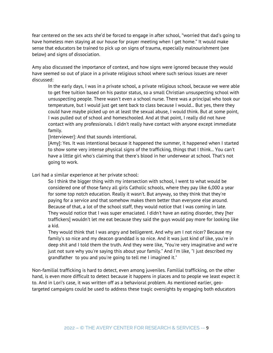fear centered on the sex acts she'd be forced to engage in after school, "worried that dad's going to have homeless men staying at our house for prayer meeting when I get home." It would make sense that educators be trained to pick up on signs of trauma, especially malnourishment (see below) and signs of dissociation.

Amy also discussed the importance of context, and how signs were ignored because they would have seemed so out of place in a private religious school where such serious issues are never discussed:

In the early days, I was in a private school, a private religious school, because we were able to get free tuition based on his pastor status, so a small Christian unsuspecting school with unsuspecting people. There wasn't even a school nurse. There was a principal who took our temperature, but I would just get sent back to class because I would... But yes, there they could have maybe picked up on at least the sexual abuse, I would think. But at some point, I was pulled out of school and homeschooled. And at that point, I really did not have contact with any professionals. I didn't really have contact with anyone except immediate family.

[Interviewer]: And that sounds intentional.

[Amy]: Yes. It was intentional because it happened the summer, it happened when I started to show some very intense physical signs of the trafficking, things that I think... You can't have a little girl who's claiming that there's blood in her underwear at school. That's not going to work.

Lori had a similar experience at her private school:

So I think the bigger thing with my intersection with school, I went to what would be considered one of those fancy all girls Catholic schools, where they pay like 6,000 a year for some top notch education. Really it wasn't. But anyway, so they think that they're paying for a service and that somehow makes them better than everyone else around. Because of that, a lot of the school staff, they would notice that I was coming in late. They would notice that I was super emaciated. I didn't have an eating disorder, they [her traffickers] wouldn't let me eat because they said the guys would pay more for looking like a kid.

They would think that I was angry and belligerent. And why am I not nicer? Because my family's so nice and my deacon granddad is so nice. And it was just kind of like, you're in deep shit and I told them the truth. And they were like, "You're very imaginative and we're just not sure why you're saying this about your family." And I'm like, "I just described my grandfather to you and you're going to tell me I imagined it."

Non-familial trafficking is hard to detect, even among juveniles. Familial trafficking, on the other hand, is even more difficult to detect because it happens in places and to people we least expect it to. And in Lori's case, it was written off as a behavioral problem. As mentioned earlier, geotargeted campaigns could be used to address these tragic oversights by engaging both educators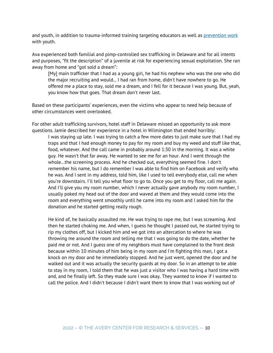and youth, in addition to trauma-informed training targeting educators as well as [prevention work](https://uprisingwyo.org/) with youth.

Ava experienced both familial and pimp-controlled sex trafficking in Delaware and for all intents and purposes, "fit the description" of a juvenile at risk for experiencing sexual exploitation. She ran away from home and "got sold a dream":

[My] main trafficker that I had as a young girl, he had his nephew who was the one who did the major recruiting and would... I had ran from home, didn't have nowhere to go. He offered me a place to stay, sold me a dream, and I fell for it because I was young. But, yeah, you know how that goes. That dream don't never last.

Based on these participants' experiences, even the victims who appear to need help because of other circumstances went overlooked.

For other adult trafficking survivors, hotel staff in Delaware missed an opportunity to ask more questions. Jamie described her experience in a hotel in Wilmington that ended horribly:

I was staying up late. I was trying to catch a few more dates to just make sure that I had my traps and that I had enough money to pay for my room and buy my weed and stuff like that, food, whatever. And the call came in probably around 1:30 in the morning. It was a white guy. He wasn't that far away. He wanted to see me for an hour. And I went through the whole…the screening process. And he checked out, everything seemed fine. I don't remember his name, but I do remember I was able to find him on Facebook and verify who he was. And I sent in my address, told him, like I used to tell everybody else, call me when you're downstairs. I'll tell you what floor to go to. Once you get to my floor, call me again. And I'll give you my room number, which I never actually gave anybody my room number, I usually poked my head out of the door and waved at them and they would come into the room and everything went smoothly until he came into my room and I asked him for the donation and he started getting really rough.

He kind of, he basically assaulted me. He was trying to rape me, but I was screaming. And then he started choking me. And when, I guess he thought I passed out, he started trying to rip my clothes off, but I kicked him and we got into an altercation to where he was throwing me around the room and telling me that I was going to do the date, whether he paid me or not. And I guess one of my neighbors must have complained to the front desk because within 10 minutes of him being in my room and I'm fighting this man, I got a knock on my door and he immediately stopped. And he just went, opened the door and he walked out and it was actually the security guards at my door. So in an attempt to be able to stay in my room, I told them that he was just a visitor who I was having a hard time with and, and he finally left. So they made sure I was okay. They wanted to know if I wanted to call the police. And I didn't because I didn't want them to know that I was working out of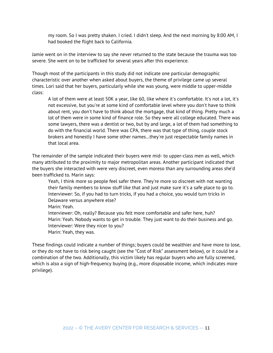my room. So I was pretty shaken. I cried. I didn't sleep. And the next morning by 8:00 AM, I had booked the flight back to California.

Jamie went on in the interview to say she never returned to the state because the trauma was too severe. She went on to be trafficked for several years after this experience.

Though most of the participants in this study did not indicate one particular demographic characteristic over another when asked about buyers, the theme of privilege came up several times. Lori said that her buyers, particularly while she was young, were middle to upper-middle class:

A lot of them were at least 50K a year, like 60, like where it's comfortable. It's not a lot, it's not excessive, but you're at some kind of comfortable level where you don't have to think about rent, you don't have to think about the mortgage, that kind of thing. Pretty much a lot of them were in some kind of finance role. So they were all college educated. There was some lawyers, there was a dentist or two, but by and large, a lot of them had something to do with the financial world. There was CPA, there was that type of thing, couple stock brokers and honestly I have some other names…they're just respectable family names in that local area.

The remainder of the sample indicated their buyers were mid- to upper-class men as well, which many attributed to the proximity to major metropolitan areas. Another participant indicated that the buyers she interacted with were very discreet, even moreso than any surrounding areas she'd been trafficked to. Marin says:

Yeah, I think more so people feel safer there. They're more so discreet with not wanting their family members to know stuff like that and just make sure it's a safe place to go to. Interviewer: So, if you had to turn tricks, if you had a choice, you would turn tricks in Delaware versus anywhere else?

Marin: Yeah.

Interviewer: Oh, really? Because you felt more comfortable and safer here, huh? Marin: Yeah. Nobody wants to get in trouble. They just want to do their business and go. Interviewer: Were they nicer to you?

Marin: Yeah, they was.

These findings could indicate a number of things; buyers could be wealthier and have more to lose, or they do not have to risk being caught (see the "Cost of Risk" assessment below), or it could be a combination of the two. Additionally, this victim likely has regular buyers who are fully screened, which is also a sign of high-frequency buying (e.g., more disposable income, which indicates more privilege).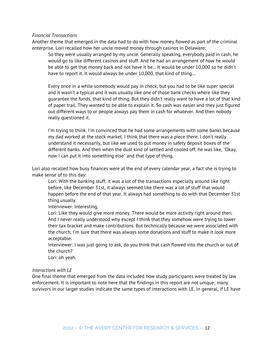#### *Financial Transactions*

Another theme that emerged in the data had to do with how money flowed as part of the criminal enterprise. Lori recalled how her uncle moved money through casinos in Delaware:

So they were usually arranged by my uncle. Generally speaking, everybody paid in cash, he would go to like different casinos and stuff. And he had an arrangement of how he would be able to get that money back and not have it be... It would be under 10,000 so he didn't have to report it. It would always be under 10,000, that kind of thing…

Every once in a while somebody would pay in check, but you had to be like super special and it wasn't a typical and it was usually like one of those bank checks where like they guarantee the funds, that kind of thing. But they didn't really want to have a lot of that kind of paper trail. They wanted to be able to explain it. So cash was easier and they just figured out different ways to or people always pay them in cash for whatever. And then nobody really questioned it.

I'm trying to think. I'm convinced that he had some arrangements with some banks because my dad worked at the stock market. I think that there was a piece there. I don't really understand it necessarily, but like we used to put money in safety deposit boxes of the different banks. And then when the dust kind of settled and cooled off, he was like, "Okay, now I can put it into something else" and that type of thing.

Lori also recalled how busy finances were at the end of every calendar year, a fact she is trying to make sense of to this day:

Lori: With the banking stuff, it was a lot of the transactions especially around like right before, like December 31st, it always seemed like there was a lot of stuff that would happen before the end of that year. It always had something to do with that December 31st thing usually.

Interviewer: Interesting.

Lori: Like they would give more money. There would be more activity right around then. And I never really understood why except I think that they somehow were trying to lower their tax bracket and make contributions. But technically because we were associated with the church, I'm sure that there was always some donations and stuff to make it look more acceptable.

Interviewer: I was just going to ask, do you think that cash flowed into the church or out of the church?

Lori: oh yeah.

#### *Interactions with LE*

One final theme that emerged from the data included how study participants were treated by law enforcement. It is important to note here that the findings in this report are not unique; many survivors in our larger studies indicate the same types of interactions with LE. In general, if LE have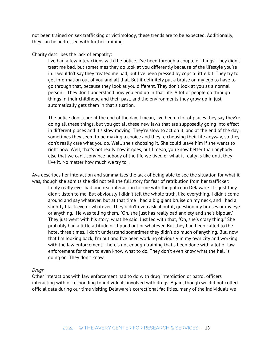not been trained on sex trafficking or victimology, these trends are to be expected. Additionally, they can be addressed with further training.

Charity describes the lack of empathy:

I've had a few interactions with the police. I've been through a couple of things. They didn't treat me bad, but sometimes they do look at you differently because of the lifestyle you're in. I wouldn't say they treated me bad, but I've been pressed by cops a little bit. They try to get information out of you and all that. But it definitely put a bruise on my ego to have to go through that, because they look at you different. They don't look at you as a normal person… They don't understand how you end up in that life. A lot of people go through things in their childhood and their past, and the environments they grow up in just automatically gets them in that situation.

The police don't care at the end of the day. I mean, I've been a lot of places they say they're doing all these things, but you got all these new laws that are supposedly going into effect in different places and it's slow moving. They're slow to act on it, and at the end of the day, sometimes they seem to be making a choice and they're choosing their life anyway, so they don't really care what you do. Well, she's choosing it. She could leave him if she wants to right now. Well, that's not really how it goes, but I mean, you know better than anybody else that we can't convince nobody of the life we lived or what it really is like until they live it. No matter how much we try to...

Ava describes her interaction and summarizes the lack of being able to see the situation for what it was, though she admits she did not tell the full story for fear of retribution from her trafficker:

I only really ever had one real interaction for me with the police in Delaware. It's just they didn't listen to me. But obviously I didn't tell the whole truth, like everything. I didn't come around and say whatever, but at that time I had a big giant bruise on my neck, and I had a slightly black eye or whatever. They didn't even ask about it, question my bruises or my eye or anything. He was telling them, "Oh, she just has really bad anxiety and she's bipolar." They just went with his story, what he said. Just led with that, "Oh, she's crazy thing." She probably had a little attitude or flipped out or whatever. But they had been called to the hotel three times. I don't understand sometimes they didn't do much of anything. But, now that I'm looking back, I'm out and I've been working obviously in my own city and working with the law enforcement. There's not enough training that's been done with a lot of law enforcement for them to even know what to do. They don't even know what the hell is going on. They don't know.

#### *Drugs*

Other interactions with law enforcement had to do with drug interdiction or patrol officers interacting with or responding to individuals involved with drugs. Again, though we did not collect official data during our time visiting Delaware's correctional facilities, many of the individuals we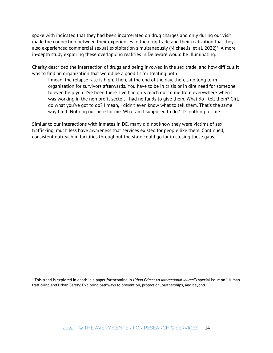spoke with indicated that they had been incarcerated on drug charges and only during our visit made the connection between their experiences in the drug trade and their realization that they also experienced commercial sexual exploitation simultaneously (Michaelis, et al. 2022)<sup>[3](#page-14-0)</sup>. A more in-depth study exploring these overlapping realities in Delaware would be illuminating.

Charity described the intersection of drugs and being involved in the sex trade, and how difficult it was to find an organization that would be a good fit for treating both:

I mean, the relapse rate is high. Then, at the end of the day, there's no long term organization for survivors afterwards. You have to be in crisis or in dire need for someone to even help you. I've been there. I've had girls reach out to me from everywhere when I was working in the non profit sector. I had no funds to give them. What do I tell them? Girl, do what you've got to do? I mean, I didn't even know what to tell them. That's the same way I felt. Nothing out here for me. What am I supposed to do? It's nothing for me.

Similar to our interactions with inmates in DE, many did not know they were victims of sex trafficking, much less have awareness that services existed for people like them. Continued, consistent outreach in facilities throughout the state could go far in closing these gaps.

l

<span id="page-14-0"></span><sup>3</sup> This trend is explored in depth in a paper forthcoming in *Urban Crime: An International Journal's* special issue on "Human trafficking and Urban Safety: Exploring pathways to prevention, protection, partnerships, and beyond."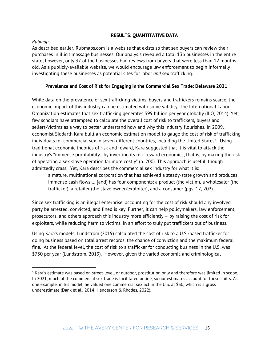# **RESULTS: QUANTITATIVE DATA**

# *Rubmaps*

 $\overline{\phantom{a}}$ 

As described earlier, Rubmaps.com is a website that exists so that sex buyers can review their purchases in illicit massage businesses. Our analysis revealed a total 136 businesses in the entire state; however, only 37 of the businesses had reviews from buyers that were less than 12 months old. As a publicly-available website, we would encourage law enforcement to begin informally investigating these businesses as potential sites for labor *and* sex trafficking.

# **Prevalence and Cost of Risk for Engaging in the Commercial Sex Trade: Delaware 2021**

While data on the prevalence of sex trafficking victims, buyers and traffickers remains scarce, the economic impact of this industry can be estimated with some validity. The International Labor Organization estimates that sex trafficking generates \$99 billion per year globally (ILO, 2014). Yet, few scholars have attempted to calculate the overall cost of risk to traffickers, buyers and sellers/victims as a way to better understand how and why this industry flourishes. In 2009, economist Siddarth Kara built an economic estimation model to gauge the cost of risk of trafficking individuals for commercial sex in seven different countries, including the United States<sup>[4](#page-15-0)</sup>. Using traditional economic theories of risk and reward, Kara suggested that it is vital to attack the industry's "immense profitability…by inverting its risk-reward economics; that is, by making the risk of operating a sex slave operation far more costly" (p. 200). This approach is useful, though admittedly crass. Yet, Kara describes the commercial sex industry for what it is:

a mature, multinational corporation that has achieved a steady-state growth and produces immense cash flows … [and] has four components: a product (the victim), a wholesaler (the trafficker), a retailer (the slave owner/exploiter), and a consumer (pgs. 17, 202).

Since sex trafficking is an illegal enterprise, accounting for the cost of risk should any involved party be arrested, convicted, and fined is key. Further, it can help policymakers, law enforcement, prosecutors, and others approach this industry more efficiently – by raising the cost of risk for exploiters, while reducing harm to victims, in an effort to truly put traffickers out of business.

Using Kara's models, Lundstrom (2019) calculated the cost of risk to a U.S.-based trafficker for doing business based on total arrest records, the chance of conviction and the maximum federal fine. At the federal level, the cost of risk to a trafficker for conducting business in the U.S. was \$730 per year (Lundstrom, 2019). However, given the varied economic and criminological

<span id="page-15-0"></span><sup>4</sup> Kara's estimate was based on street-level, or outdoor, prostitution only and therefore was limited in scope. In 2021, much of the commercial sex trade is facilitated online, so our estimates account for these shifts. As one example, in his model, he valued one commercial sex act in the U.S. at \$30, which is a gross underestimate (Dank et al., 2014; Henderson & Rhodes, 2022).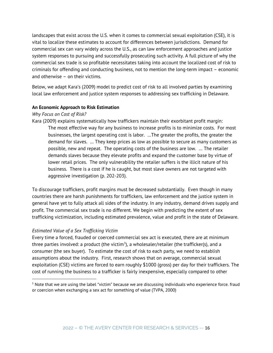landscapes that exist across the U.S. when it comes to commercial sexual exploitation (CSE), it is vital to localize these estimates to account for differences between jurisdictions. Demand for commercial sex can vary widely across the U.S., as can law enforcement approaches and justice system responses to pursuing and successfully prosecuting such activity. A full picture of why the commercial sex trade is so profitable necessitates taking into account the localized cost of risk to criminals for offending and conducting business, not to mention the long-term impact – economic and otherwise – on their victims.

Below, we adapt Kara's (2009) model to predict cost of risk to all involved parties by examining local law enforcement and justice system responses to addressing sex trafficking in Delaware.

### **An Economic Approach to Risk Estimation**

### *Why Focus on Cost of Risk?*

Kara (2009) explains systematically how traffickers maintain their exorbitant profit margin: The most effective way for any business to increase profits is to minimize costs. For most businesses, the largest operating cost is labor. …The greater the profits, the greater the demand for slaves. … They keep prices as low as possible to secure as many customers as possible, new and repeat. The operating costs of the business are low. … The retailer demands slaves because they elevate profits and expand the customer base by virtue of lower retail prices. The only vulnerability the retailer suffers is the illicit nature of his business. There is a cost if he is caught, but most slave owners are not targeted with aggressive investigation (p. 202-203).

To discourage traffickers, profit margins must be decreased substantially. Even though in many countries there are harsh punishments for traffickers, law enforcement and the justice system in general have yet to fully attack all sides of the industry. In any industry, demand drives supply and profit. The commercial sex trade is no different. We begin with predicting the extent of sex trafficking victimization, including estimated prevalence, value and profit in the state of Delaware.

### *Estimated Value of a Sex Trafficking Victim*

 $\overline{a}$ 

Every time a forced, frauded or coerced commercial sex act is executed, there are at minimum three parties involved: a product (the victim<sup>[5](#page-16-0)</sup>), a wholesaler/retailer (the trafficker(s), and a consumer (the sex buyer). To estimate the cost of risk to each party, we need to establish assumptions about the industry. First, research shows that on average, commercial sexual exploitation (CSE) victims are forced to earn roughly \$1000 (gross) per day for their traffickers. The cost of running the business to a trafficker is fairly inexpensive, especially compared to other

<span id="page-16-0"></span><sup>5</sup> Note that we are using the label "victim" because we are discussing individuals who experience force. fraud or coercion when exchanging a sex act for something of value (TVPA, 2000)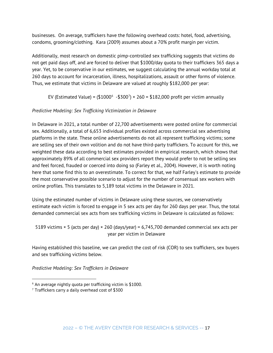businesses. On average, traffickers have the following overhead costs: hotel, food, advertising, condoms, grooming/clothing. Kara (2009) assumes about a 70% profit margin per victim.

Additionally, most research on domestic pimp-controlled sex trafficking suggests that victims do not get paid days off, and are forced to deliver that \$1000/day quota to their traffickers 365 days a year. Yet, to be conservative in our estimates, we suggest calculating the annual workday total at 260 days to account for incarceration, illness, hospitalizations, assault or other forms of violence. Thus, we estimate that victims in Delaware are valued at roughly \$182,000 per year:

EV (Estimated Value) = (\$1000 $^{\circ}$  -\$300<sup>7</sup>) × 2[6](#page-17-0)0 = \$182,000 profit per victim annually

# *Predictive Modeling: Sex Trafficking Victimization in Delaware*

In Delaware in 2021, a total number of 22,700 advertisements were posted online for commercial sex. Additionally, a total of 6,653 individual profiles existed across commercial sex advertising platforms in the state. These online advertisements do not all represent trafficking victims; some are selling sex of their own volition and do not have third-party traffickers. To account for this, we weighted these data according to best estimates provided in empirical research, which shows that approximately 89% of all commercial sex providers report they would prefer to not be selling sex and feel forced, frauded or coerced into doing so (Farley et al., 2004). However, it is worth noting here that some find this to an overestimate. To correct for that, we half Farley's estimate to provide the most conservative possible scenario to adjust for the number of consensual sex workers with online profiles. This translates to 5,189 total victims in the Delaware in 2021.

Using the estimated number of victims in Delaware using these sources, we conservatively estimate each victim is forced to engage in 5 sex acts per day for 260 days per year. Thus, the total demanded commercial sex acts from sex trafficking victims in Delaware is calculated as follows:

5189 victims × 5 (acts per day) × 260 (days/year) = 6,745,700 demanded commercial sex acts per year per victim in Delaware

Having established this baseline, we can predict the cost of risk (COR) to sex traffickers, sex buyers and sex trafficking victims below.

*Predictive Modeling: Sex Traffickers in Delaware*

 $\overline{a}$ 

<span id="page-17-0"></span> $6$  An average nightly quota per trafficking victim is \$1000.

<span id="page-17-1"></span> $7$  Traffickers carry a daily overhead cost of \$300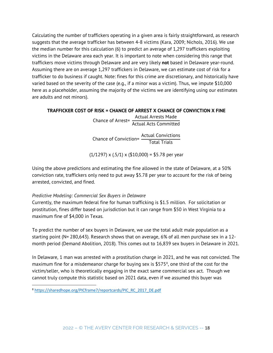Calculating the number of traffickers operating in a given area is fairly straightforward, as research suggests that the average trafficker has between 4-8 victims (Kara, 2009; Nichols, 2016). We use the median number for this calculation (6) to predict an average of 1,297 traffickers exploiting victims in the Delaware area each year. It is important to note when considering this range that traffickers move victims through Delaware and are very likely **not** based in Delaware year-round. Assuming there are on average 1,297 traffickers in Delaware, we can estimate cost of risk for a trafficker to do business if caught. Note: fines for this crime are discretionary, and historically have varied based on the severity of the case (e.g., if a minor was a victim). Thus, we impute \$10,000 here as a placeholder, assuming the majority of the victims we are identifying using our estimates are adults and not minors).

### **TRAFFICKER COST OF RISK = CHANCE OF ARREST X CHANCE OF CONVICTION X FINE**

Chance of Arrest= Actual Arrests Made Actual Acts Committed

Chance of Conviction= Actual Convictions Total Trials

 $(1/1297)$  x  $(.5/1)$  x  $(\$10,000) = \$5.78$  per year

Using the above predictions and estimating the fine allowed in the state of Delaware, at a 50% conviction rate, traffickers only need to put away \$5.78 per year to account for the risk of being arrested, convicted, and fined.

### *Predictive Modeling: Commercial Sex Buyers in Delaware*

Currently, the maximum federal fine for human trafficking is \$1.5 million. For solicitation or prostitution, fines differ based on jurisdiction but it can range from \$50 in West Virginia to a maximum fine of \$4,000 in Texas.

To predict the number of sex buyers in Delaware, we use the total adult male population as a starting point (N= 280,643). Research shows that on average, 6% of all men purchase sex in a 12 month period (Demand Abolition, 2018). This comes out to 16,839 sex buyers in Delaware in 2021.

In Delaware, 1 man was arrested with a prostitution charge in 2021, and he was not convicted. The maximum fine for a misdemeanor charge for buying sex is  $$575<sup>8</sup>$  $$575<sup>8</sup>$  $$575<sup>8</sup>$ , one third of the cost for the victim/seller, who is theoretically engaging in the exact same commercial sex act. Though we cannot truly compute this statistic based on 2021 data, even if we assumed this buyer was

 $\overline{\phantom{a}}$ 

<span id="page-18-0"></span><sup>8</sup> [https://sharedhope.org/PICframe7/reportcards/PIC\\_RC\\_2017\\_DE.pdf](https://sharedhope.org/PICframe7/reportcards/PIC_RC_2017_DE.pdf)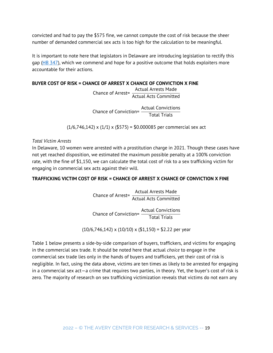convicted and had to pay the \$575 fine, we cannot compute the cost of risk because the sheer number of demanded commercial sex acts is too high for the calculation to be meaningful.

It is important to note here that legislators in Delaware are introducing legislation to rectify this gap [\(HB 347\)](https://openstates.org/de/bills/151/HB347/), which we commend and hope for a positive outcome that holds exploiters more accountable for their actions.

# **BUYER COST OF RISK = CHANCE OF ARREST X CHANCE OF CONVICTION X FINE**

Chance of Arrest= Actual Arrests Made Actual Acts Committed

Chance of Conviction= Actual Convictions Total Trials

 $(1/6,746,142)$  x  $(1/1)$  x  $(\$575)$  = \$0.000085 per commercial sex act

# *Total Victim Arrests*

In Delaware, 10 women were arrested with a prostitution charge in 2021. Though these cases have not yet reached disposition, we estimated the maximum possible penalty at a 100% conviction rate, with the fine of \$1,150, we can calculate the total cost of risk to a sex trafficking victim for engaging in commercial sex acts against their will.

# **TRAFFICKING VICTIM COST OF RISK = CHANCE OF ARREST X CHANCE OF CONVICTION X FINE**

Chance of Arrest= Actual Arrests Made Actual Acts Committed

Chance of Conviction= Actual Convictions Total Trials

 $(10/6, 746, 142) \times (10/10) \times (\$1,150) = \$2.22$  per year

Table 1 below presents a side-by-side comparison of buyers, traffickers, and victims for engaging in the commercial sex trade. It should be noted here that actual *choice* to engage in the commercial sex trade lies only in the hands of buyers and traffickers, yet their cost of risk is negligible. In fact, using the data above, victims are ten times as likely to be arrested for engaging in a commercial sex act—a crime that requires two parties, in theory. Yet, the buyer's cost of risk is zero. The majority of research on sex trafficking victimization reveals that victims do not earn any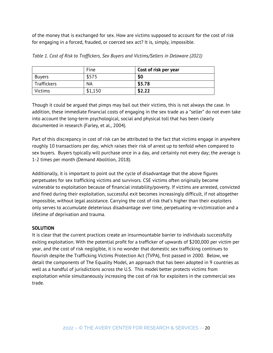of the money that is exchanged for sex. How are victims supposed to account for the cost of risk for engaging in a forced, frauded, or coerced sex act? It is, simply, impossible.

|                | Fine      | Cost of risk per year |
|----------------|-----------|-----------------------|
| <b>Buyers</b>  | \$575     | \$0                   |
| Traffickers    | <b>NA</b> | \$5.78                |
| <b>Victims</b> | \$1,150   | \$2.22                |

*Table 1. Cost of Risk to Traffickers, Sex Buyers and Victims/Sellers in Delaware (2021)*

Though it could be argued that pimps may bail out their victims, this is not always the case. In addition, these immediate financial costs of engaging in the sex trade as a "seller" do not even take into account the long-term psychological, social and physical toll that has been clearly documented in research (Farley, et al., 2004).

Part of this discrepancy in cost of risk can be attributed to the fact that victims engage in anywhere roughly 10 transactions per day, which raises their risk of arrest up to tenfold when compared to sex buyers. Buyers typically will purchase once in a day, and certainly not every day; the average is 1-2 times per month (Demand Abolition, 2018).

Additionally, it is important to point out the cycle of disadvantage that the above figures perpetuates for sex trafficking victims and survivors. CSE victims often originally become vulnerable to exploitation because of financial instability/poverty. If victims are arrested, convicted and fined during their exploitation, successful exit becomes increasingly difficult, if not altogether impossible, without legal assistance. Carrying the cost of risk that's higher than their exploiters only serves to accumulate deleterious disadvantage over time, perpetuating re-victimization and a lifetime of deprivation and trauma.

# **SOLUTION**

It is clear that the current practices create an insurmountable barrier to individuals successfully exiting exploitation. With the potential profit for a trafficker of upwards of \$200,000 per victim per year, and the cost of risk negligible, it is no wonder that domestic sex trafficking continues to flourish despite the Trafficking Victims Protection Act (TVPA), first passed in 2000. Below, we detail the components of The Equality Model, an approach that has been adopted in 9 countries as well as a handful of jurisdictions across the U.S. This model better protects victims from exploitation while simultaneously increasing the cost of risk for exploiters in the commercial sex trade.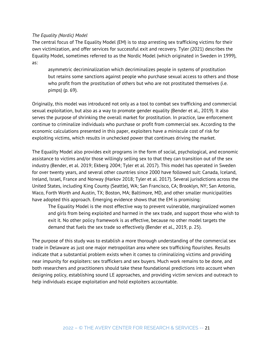### *The Equality (Nordic) Model*

The central focus of The Equality Model (EM) is to stop arresting sex trafficking victims for their own victimization, and offer services for successful exit and recovery. Tyler (2021) describes the Equality Model, sometimes referred to as the Nordic Model (which originated in Sweden in 1999), as:

asymmetric decriminalization which decriminalizes people in systems of prostitution but retains some sanctions against people who purchase sexual access to others and those who profit from the prostitution of others but who are not prostituted themselves (i.e. pimps) (p. 69).

Originally, this model was introduced not only as a tool to combat sex trafficking and commercial sexual exploitation, but also as a way to promote gender equality (Bender et al., 2019). It also serves the purpose of shrinking the overall market for prostitution. In practice, law enforcement continue to criminalize individuals who purchase or profit from commercial sex. According to the economic calculations presented in this paper, exploiters have a miniscule cost of risk for exploiting victims, which results in unchecked power that continues driving the market.

The Equality Model also provides exit programs in the form of social, psychological, and economic assistance to victims and/or those willingly selling sex to that they can transition out of the sex industry (Bender, et al. 2019; Ekberg 2004; Tyler et al. 2017). This model has operated in Sweden for over twenty years, and several other countries since 2000 have followed suit: Canada, Iceland, Ireland, Israel, France and Norway (Harkov 2018; Tyler et al. 2017). Several jurisdictions across the United States, including King County (Seattle), WA; San Francisco, CA; Brooklyn, NY; San Antonio, Waco, Forth Worth and Austin, TX; Boston, MA; Baltimore, MD, and other smaller municipalities have adopted this approach. Emerging evidence shows that the EM is promising:

The Equality Model is the most effective way to prevent vulnerable, marginalized women and girls from being exploited and harmed in the sex trade, and support those who wish to exit it. No other policy framework is as effective, because no other model targets the demand that fuels the sex trade so effectively (Bender et al., 2019, p. 25).

The purpose of this study was to establish a more thorough understanding of the commercial sex trade in Delaware as just one major metropolitan area where sex trafficking flourishes. Results indicate that a substantial problem exists when it comes to criminalizing victims and providing near impunity for exploiters: sex traffickers and sex buyers. Much work remains to be done, and both researchers and practitioners should take these foundational predictions into account when designing policy, establishing sound LE approaches, and providing victim services and outreach to help individuals escape exploitation and hold exploiters accountable.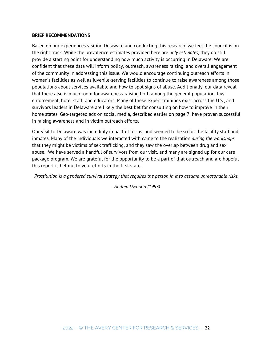#### **BRIEF RECOMMENDATIONS**

Based on our experiences visiting Delaware and conducting this research, we feel the council is on the right track. While the prevalence estimates provided here are *only estimates,* they do still provide a starting point for understanding how much activity is occurring in Delaware. We are confident that these data will inform policy, outreach, awareness raising, and overall engagement of the community in addressing this issue. We would encourage continuing outreach efforts in women's facilities as well as juvenile-serving facilities to continue to raise awareness among those populations about services available and how to spot signs of abuse. Additionally, our data reveal that there also is much room for awareness-raising both among the general population, law enforcement, hotel staff, and educators. Many of these expert trainings exist across the U.S., and survivors leaders in Delaware are likely the best bet for consulting on how to improve in their home states. Geo-targeted ads on social media, described earlier on page 7, have proven successful in raising awareness and in victim outreach efforts.

Our visit to Delaware was incredibly impactful for us, and seemed to be so for the facility staff and inmates. Many of the individuals we interacted with came to the realization *during the workshops*  that they might be victims of sex trafficking, and they saw the overlap between drug and sex abuse. We have served a handful of survivors from our visit, and many are signed up for our care package program. We are grateful for the opportunity to be a part of that outreach and are hopeful this report is helpful to your efforts in the first state.

*Prostitution is a gendered survival strategy that requires the person in it to assume unreasonable risks.*

*-Andrea Dworkin (1993)*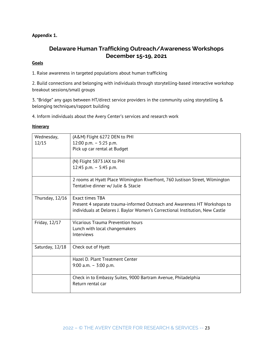# **Appendix 1.**

# **Delaware Human Trafficking Outreach/Awareness Workshops December 15-19, 2021**

### **Goals**

1. Raise awareness in targeted populations about human trafficking

2. Build connections and belonging with individuals through storytelling-based interactive workshop breakout sessions/small groups

3. "Bridge" any gaps between HT/direct service providers in the community using storytelling & belonging techniques/rapport building

4. Inform individuals about the Avery Center's services and research work

#### **Itinerary**

| Wednesday,      | (A&M) Flight 6272 DEN to PHI                                                  |
|-----------------|-------------------------------------------------------------------------------|
| 12/15           | 12:00 p.m. $-$ 5:25 p.m.                                                      |
|                 | Pick up car rental at Budget                                                  |
|                 |                                                                               |
|                 | (N) Flight 5873 JAX to PHI                                                    |
|                 | 12:45 p.m. $-$ 5:45 p.m.                                                      |
|                 |                                                                               |
|                 | 2 rooms at Hyatt Place Wilmington Riverfront, 760 Justison Street, Wilmington |
|                 | Tentative dinner w/ Julie & Stacie                                            |
|                 |                                                                               |
| Thursday, 12/16 | <b>Exact times TBA</b>                                                        |
|                 | Present 4 separate trauma-informed Outreach and Awareness HT Workshops to     |
|                 | individuals at Delores J. Baylor Women's Correctional Institution, New Castle |
|                 |                                                                               |
| Friday, 12/17   | <b>Vicarious Trauma Prevention hours</b>                                      |
|                 | Lunch with local changemakers                                                 |
|                 | Interviews                                                                    |
|                 |                                                                               |
| Saturday, 12/18 | Check out of Hyatt                                                            |
|                 |                                                                               |
|                 | Hazel D. Plant Treatment Center                                               |
|                 | 9:00 a.m. $-$ 3:00 p.m.                                                       |
|                 |                                                                               |
|                 | Check in to Embassy Suites, 9000 Bartram Avenue, Philadelphia                 |
|                 | Return rental car                                                             |
|                 |                                                                               |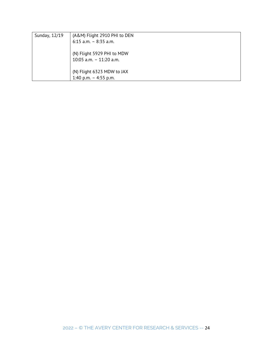| Sunday, 12/19 | (A&M) Flight 2910 PHI to DEN |
|---------------|------------------------------|
|               | $6:15$ a.m. - 8:35 a.m.      |
|               |                              |
|               | (N) Flight 5929 PHI to MDW   |
|               | 10:05 a.m. $-$ 11:20 a.m.    |
|               |                              |
|               | (N) Flight 6323 MDW to JAX   |
|               | 1:40 p.m. $-$ 4:55 p.m.      |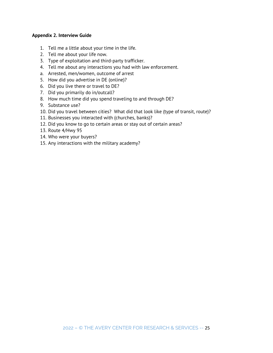### **Appendix 2. Interview Guide**

- 1. Tell me a little about your time in the life.
- 2. Tell me about your life now.
- 3. Type of exploitation and third-party trafficker.
- 4. Tell me about any interactions you had with law enforcement.
- a. Arrested, men/women, outcome of arrest
- 5. How did you advertise in DE (online)?
- 6. Did you live there or travel to DE?
- 7. Did you primarily do in/outcall?
- 8. How much time did you spend traveling to and through DE?
- 9. Substance use?
- 10. Did you travel between cities? What did that look like (type of transit, route)?
- 11. Businesses you interacted with (churches, banks)?
- 12. Did you know to go to certain areas or stay out of certain areas?
- 13. Route 4/Hwy 95
- 14. Who were your buyers?
- 15. Any interactions with the military academy?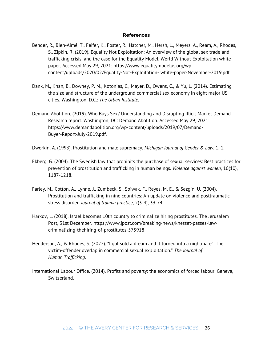#### **References**

- Bender, R., Bien-Aimé, T., Feifer, K., Foster, R., Hatcher, M., Hersh, L., Meyers, A., Ream, A., Rhodes, S., Zipkin, R. (2019). Equality Not Exploitation: An overview of the global sex trade and trafficking crisis, and the case for the Equality Model. World Without Exploitation white paper. Accessed May 29, 2021: https://www.equalitymodelus.org/wpcontent/uploads/2020/02/Equality-Not-Exploitation- white-paper-November-2019.pdf.
- Dank, M., Khan, B., Downey, P. M., Kotonias, C., Mayer, D., Owens, C., & Yu, L. (2014). Estimating the size and structure of the underground commercial sex economy in eight major US cities. Washington, D.C.: *The Urban Institute*.
- Demand Abolition. (2019). Who Buys Sex? Understanding and Disrupting Illicit Market Demand Research report. Washington, DC: Demand Abolition. Accessed May 29, 2021: https://www.demandabolition.org/wp-content/uploads/2019/07/Demand-Buyer-Report-July-2019.pdf.

Dworkin, A. (1993). Prostitution and male supremacy. *Michigan Journal of Gender & Law*, 1, 1.

- Ekberg, G. (2004). The Swedish law that prohibits the purchase of sexual services: Best practices for prevention of prostitution and trafficking in human beings. *Violence against women*, 10(10), 1187-1218.
- Farley, M., Cotton, A., Lynne, J., Zumbeck, S., Spiwak, F., Reyes, M. E., & Sezgin, U. (2004). Prostitution and trafficking in nine countries: An update on violence and posttraumatic stress disorder. *Journal of trauma practice*, 2(3-4), 33-74.
- Harkov, L. (2018). Israel becomes 10th country to criminalize hiring prostitutes. The Jerusalem Post, 31st December. https://www.jpost.com/breaking-news/knesset-passes-lawcriminalizing-thehiring-of-prostitutes-575918
- Henderson, A., & Rhodes, S. (2022). "I got sold a dream and it turned into a nightmare": The victim-offender overlap in commercial sexual exploitation." *The Journal of Human Trafficking.*
- International Labour Office. (2014). Profits and poverty: the economics of forced labour. Geneva, Switzerland.